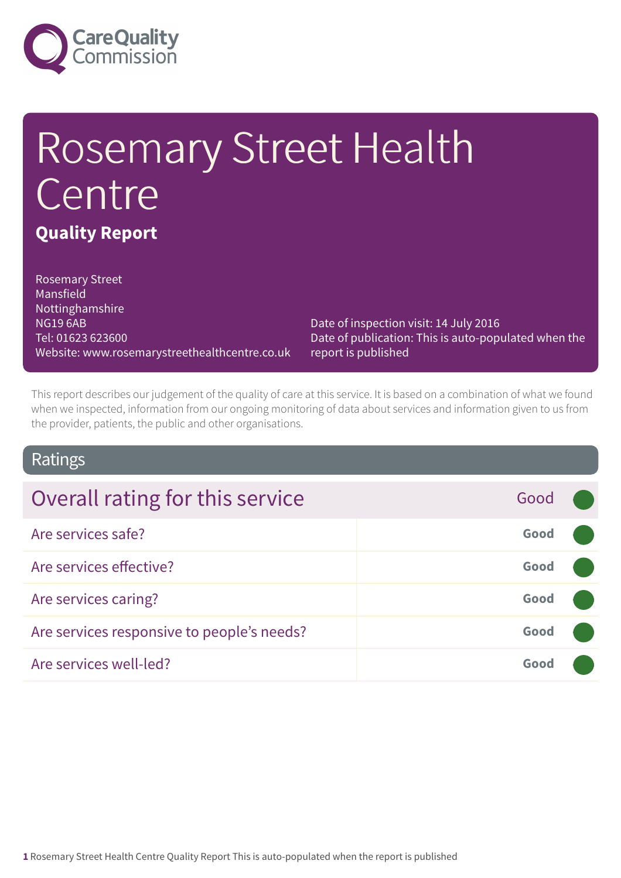

# Rosemary Street Health Centre **Quality Report**

Rosemary Street Mansfield Nottinghamshire NG19 6AB Tel: 01623 623600 Website: www.rosemarystreethealthcentre.co.uk

Date of inspection visit: 14 July 2016 Date of publication: This is auto-populated when the report is published

This report describes our judgement of the quality of care at this service. It is based on a combination of what we found when we inspected, information from our ongoing monitoring of data about services and information given to us from the provider, patients, the public and other organisations.

### Ratings

| Overall rating for this service            | Good |  |
|--------------------------------------------|------|--|
| Are services safe?                         | Good |  |
| Are services effective?                    | Good |  |
| Are services caring?                       | Good |  |
| Are services responsive to people's needs? | Good |  |
| Are services well-led?                     | Good |  |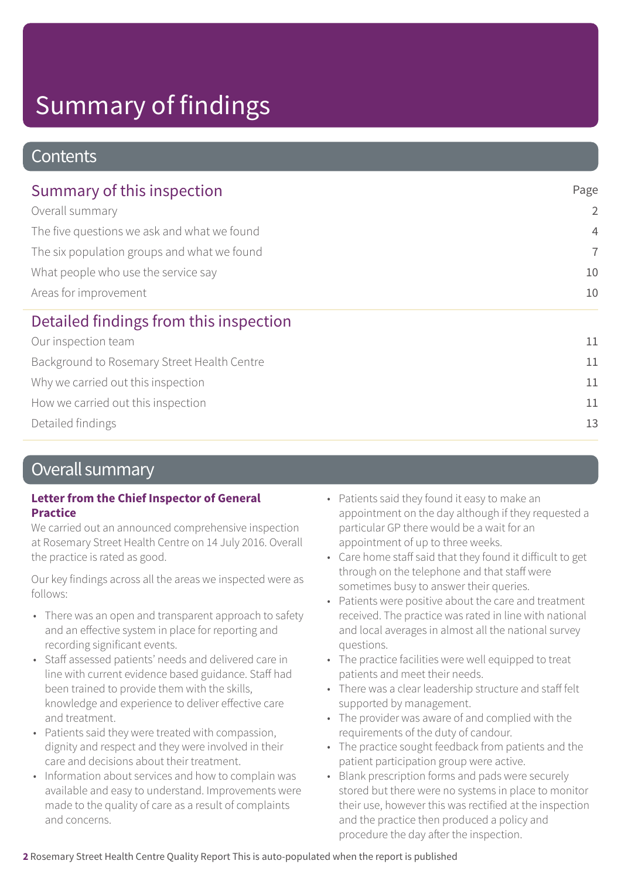### **Contents**

| Summary of this inspection                                                                                                                                                    | Page           |
|-------------------------------------------------------------------------------------------------------------------------------------------------------------------------------|----------------|
| Overall summary<br>The five questions we ask and what we found<br>The six population groups and what we found<br>What people who use the service say<br>Areas for improvement | $\overline{2}$ |
|                                                                                                                                                                               | $\overline{4}$ |
|                                                                                                                                                                               | $\overline{7}$ |
|                                                                                                                                                                               | 10             |
|                                                                                                                                                                               | 10             |
| Detailed findings from this inspection                                                                                                                                        |                |
| Our inspection team                                                                                                                                                           | 11             |
| Background to Rosemary Street Health Centre                                                                                                                                   | 11             |
| Why we carried out this inspection                                                                                                                                            | 11             |
| How we carried out this inspection                                                                                                                                            | 11             |
| Detailed findings                                                                                                                                                             | 13             |

### Overall summary

### **Letter from the Chief Inspector of General Practice**

We carried out an announced comprehensive inspection at Rosemary Street Health Centre on 14 July 2016. Overall the practice is rated as good.

Our key findings across all the areas we inspected were as follows:

- There was an open and transparent approach to safety and an effective system in place for reporting and recording significant events.
- Staff assessed patients' needs and delivered care in line with current evidence based guidance. Staff had been trained to provide them with the skills, knowledge and experience to deliver effective care and treatment.
- Patients said they were treated with compassion, dignity and respect and they were involved in their care and decisions about their treatment.
- Information about services and how to complain was available and easy to understand. Improvements were made to the quality of care as a result of complaints and concerns.
- Patients said they found it easy to make an appointment on the day although if they requested a particular GP there would be a wait for an appointment of up to three weeks.
- Care home staff said that they found it difficult to get through on the telephone and that staff were sometimes busy to answer their queries.
- Patients were positive about the care and treatment received. The practice was rated in line with national and local averages in almost all the national survey questions.
- The practice facilities were well equipped to treat patients and meet their needs.
- There was a clear leadership structure and staff felt supported by management.
- The provider was aware of and complied with the requirements of the duty of candour.
- The practice sought feedback from patients and the patient participation group were active.
- Blank prescription forms and pads were securely stored but there were no systems in place to monitor their use, however this was rectified at the inspection and the practice then produced a policy and procedure the day after the inspection.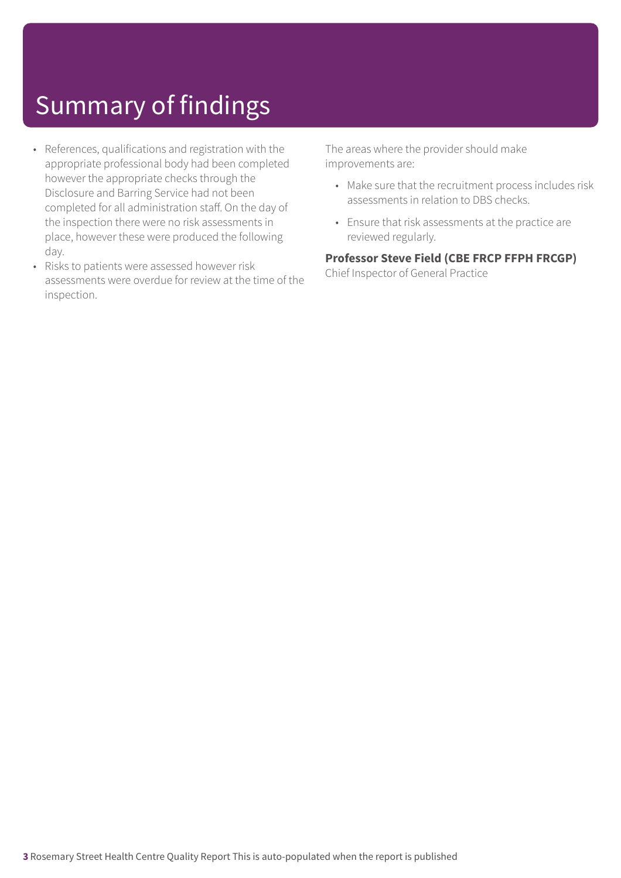- References, qualifications and registration with the appropriate professional body had been completed however the appropriate checks through the Disclosure and Barring Service had not been completed for all administration staff. On the day of the inspection there were no risk assessments in place, however these were produced the following day.
- Risks to patients were assessed however risk assessments were overdue for review at the time of the inspection.

The areas where the provider should make improvements are:

- Make sure that the recruitment process includes risk assessments in relation to DBS checks.
- Ensure that risk assessments at the practice are reviewed regularly.

**Professor Steve Field (CBE FRCP FFPH FRCGP)** Chief Inspector of General Practice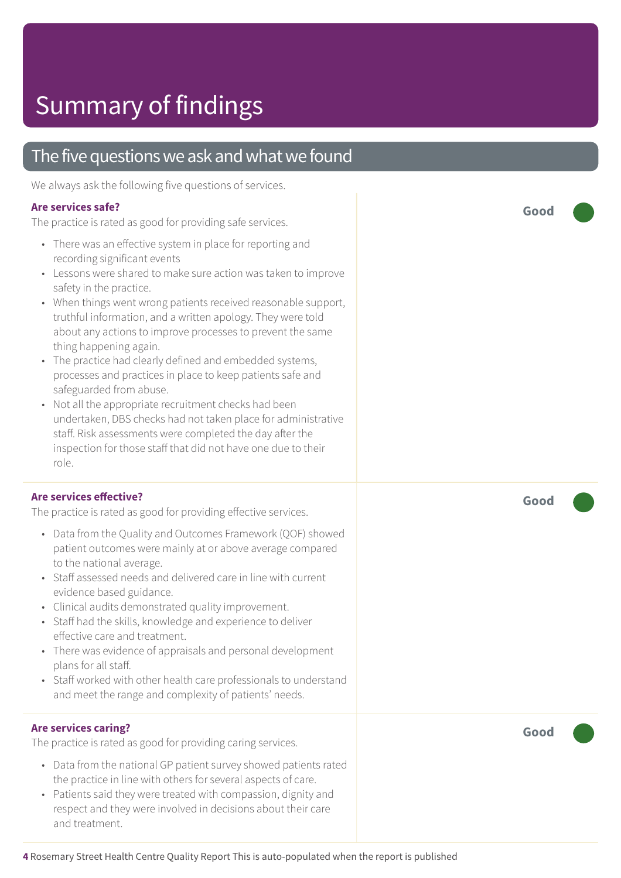### The five questions we ask and what we found

We always ask the following five questions of services.

#### **Are services safe?**

The practice is rated as good for providing safe services.

- There was an effective system in place for reporting and recording significant events
- Lessons were shared to make sure action was taken to improve safety in the practice.
- When things went wrong patients received reasonable support, truthful information, and a written apology. They were told about any actions to improve processes to prevent the same thing happening again.
- The practice had clearly defined and embedded systems, processes and practices in place to keep patients safe and safeguarded from abuse.
- Not all the appropriate recruitment checks had been undertaken, DBS checks had not taken place for administrative staff. Risk assessments were completed the day after the inspection for those staff that did not have one due to their role.

#### **Are services effective?**

The practice is rated as good for providing effective services.

- Data from the Quality and Outcomes Framework (QOF) showed patient outcomes were mainly at or above average compared to the national average.
- Staff assessed needs and delivered care in line with current evidence based guidance.
- Clinical audits demonstrated quality improvement.
- Staff had the skills, knowledge and experience to deliver effective care and treatment.
- There was evidence of appraisals and personal development plans for all staff.
- Staff worked with other health care professionals to understand and meet the range and complexity of patients' needs.

#### **Are services caring?**

The practice is rated as good for providing caring services.

- Data from the national GP patient survey showed patients rated the practice in line with others for several aspects of care.
- Patients said they were treated with compassion, dignity and respect and they were involved in decisions about their care and treatment.

**Good –––**

**Good –––**

**Good –––**

**4** Rosemary Street Health Centre Quality Report This is auto-populated when the report is published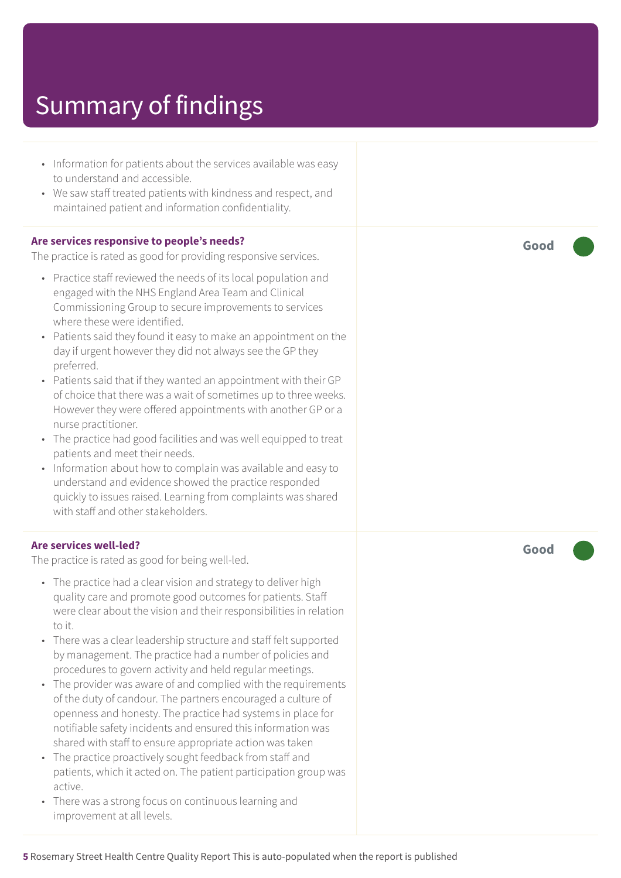- Information for patients about the services available was easy to understand and accessible.
- We saw staff treated patients with kindness and respect, and maintained patient and information confidentiality.

#### **Are services responsive to people's needs?**

The practice is rated as good for providing responsive services.

- Practice staff reviewed the needs of its local population and engaged with the NHS England Area Team and Clinical Commissioning Group to secure improvements to services where these were identified.
- Patients said they found it easy to make an appointment on the day if urgent however they did not always see the GP they preferred.
- Patients said that if they wanted an appointment with their GP of choice that there was a wait of sometimes up to three weeks. However they were offered appointments with another GP or a nurse practitioner.
- The practice had good facilities and was well equipped to treat patients and meet their needs.
- Information about how to complain was available and easy to understand and evidence showed the practice responded quickly to issues raised. Learning from complaints was shared with staff and other stakeholders.

#### **Are services well-led?**

The practice is rated as good for being well-led.

- The practice had a clear vision and strategy to deliver high quality care and promote good outcomes for patients. Staff were clear about the vision and their responsibilities in relation to it.
- There was a clear leadership structure and staff felt supported by management. The practice had a number of policies and procedures to govern activity and held regular meetings.
- The provider was aware of and complied with the requirements of the duty of candour. The partners encouraged a culture of openness and honesty. The practice had systems in place for notifiable safety incidents and ensured this information was shared with staff to ensure appropriate action was taken
- The practice proactively sought feedback from staff and patients, which it acted on. The patient participation group was active.
- There was a strong focus on continuous learning and improvement at all levels.

**Good –––**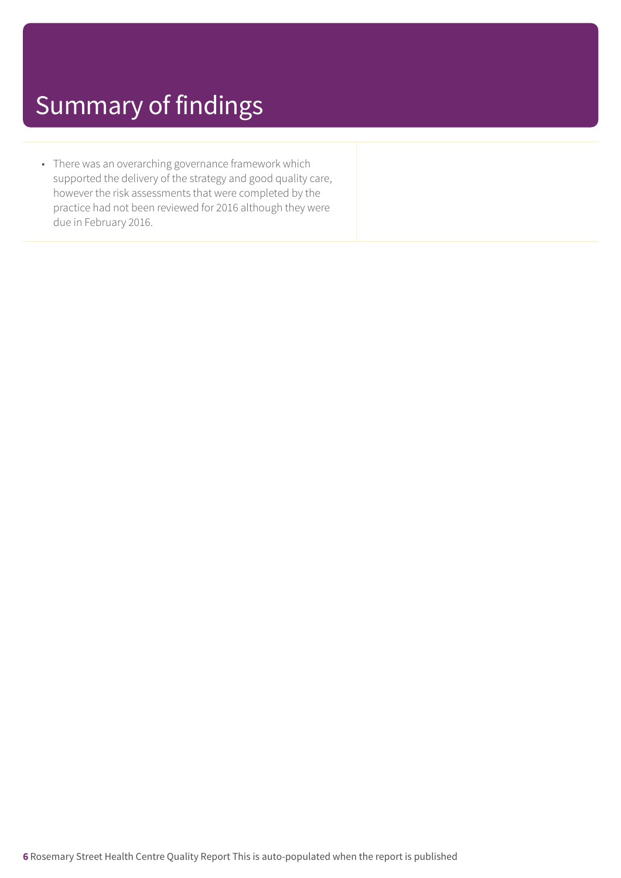• There was an overarching governance framework which supported the delivery of the strategy and good quality care, however the risk assessments that were completed by the practice had not been reviewed for 2016 although they were due in February 2016.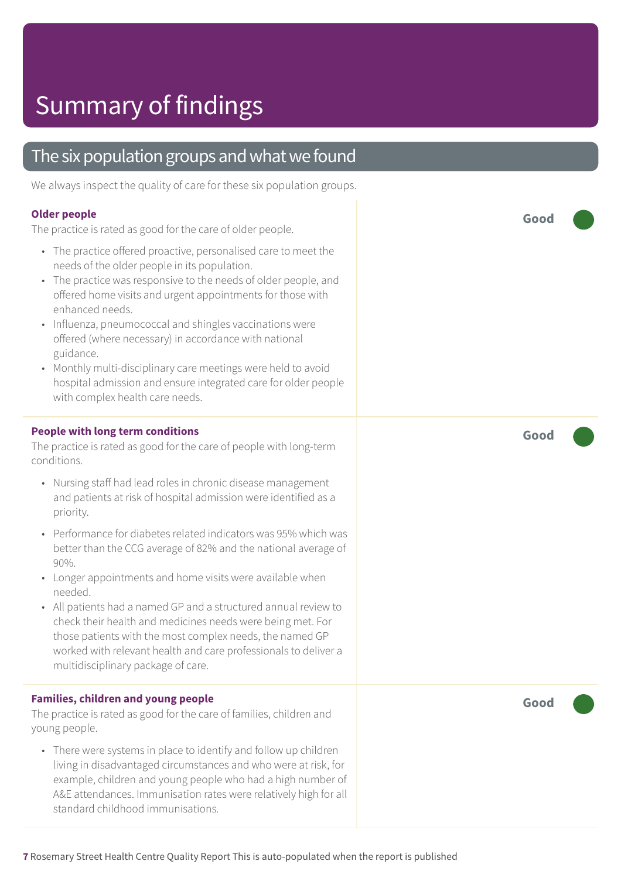### The six population groups and what we found

We always inspect the quality of care for these six population groups.

#### **Older people**

The practice is rated as good for the care of older people.

- The practice offered proactive, personalised care to meet the needs of the older people in its population.
- The practice was responsive to the needs of older people, and offered home visits and urgent appointments for those with enhanced needs.
- Influenza, pneumococcal and shingles vaccinations were offered (where necessary) in accordance with national guidance.
- Monthly multi-disciplinary care meetings were held to avoid hospital admission and ensure integrated care for older people with complex health care needs.

#### **People with long term conditions**

The practice is rated as good for the care of people with long-term conditions.

- Nursing staff had lead roles in chronic disease management and patients at risk of hospital admission were identified as a priority.
- Performance for diabetes related indicators was 95% which was better than the CCG average of 82% and the national average of 90%.
- Longer appointments and home visits were available when needed.
- All patients had a named GP and a structured annual review to check their health and medicines needs were being met. For those patients with the most complex needs, the named GP worked with relevant health and care professionals to deliver a multidisciplinary package of care.

#### **Families, children and young people**

The practice is rated as good for the care of families, children and young people.

• There were systems in place to identify and follow up children living in disadvantaged circumstances and who were at risk, for example, children and young people who had a high number of A&E attendances. Immunisation rates were relatively high for all standard childhood immunisations.

**Good –––**

**Good –––**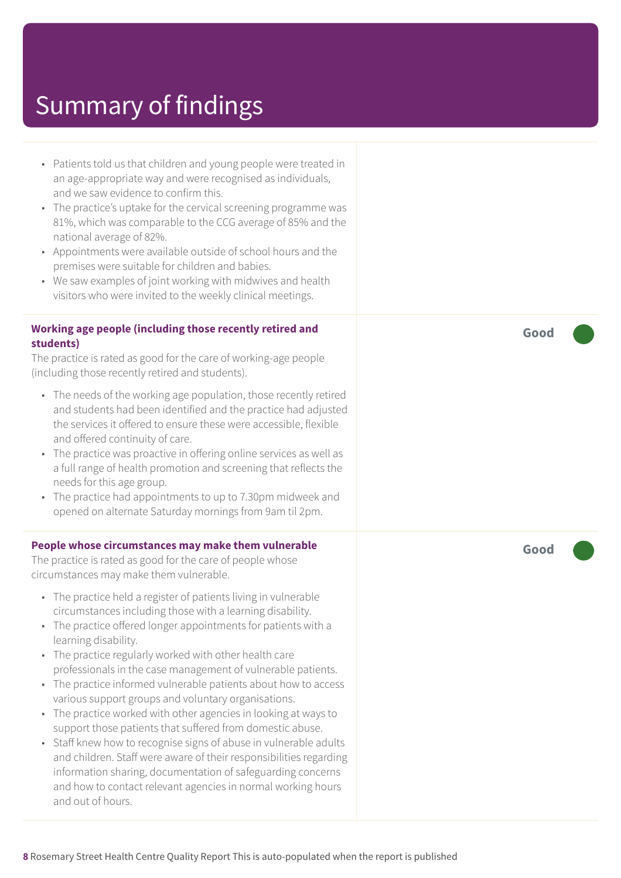- Patients told us that children and young people were treated in an age-appropriate way and were recognised as individuals, and we saw evidence to confirm this.
- The practice's uptake for the cervical screening programme was 81%, which was comparable to the CCG average of 85% and the national average of 82%.
- Appointments were available outside of school hours and the premises were suitable for children and babies.
- We saw examples of joint working with midwives and health visitors who were invited to the weekly clinical meetings.

#### **Working age people (including those recently retired and students)**

The practice is rated as good for the care of working-age people (including those recently retired and students).

- The needs of the working age population, those recently retired and students had been identified and the practice had adjusted the services it offered to ensure these were accessible, flexible and offered continuity of care.
- The practice was proactive in offering online services as well as a full range of health promotion and screening that reflects the needs for this age group.
- The practice had appointments to up to 7.30pm midweek and opened on alternate Saturday mornings from 9am til 2pm.

#### **People whose circumstances may make them vulnerable**

The practice is rated as good for the care of people whose circumstances may make them vulnerable.

- The practice held a register of patients living in vulnerable circumstances including those with a learning disability.
- The practice offered longer appointments for patients with a learning disability.
- The practice regularly worked with other health care professionals in the case management of vulnerable patients.
- The practice informed vulnerable patients about how to access various support groups and voluntary organisations.
- The practice worked with other agencies in looking at ways to support those patients that suffered from domestic abuse.
- Staff knew how to recognise signs of abuse in vulnerable adults and children. Staff were aware of their responsibilities regarding information sharing, documentation of safeguarding concerns and how to contact relevant agencies in normal working hours and out of hours.

**Good –––**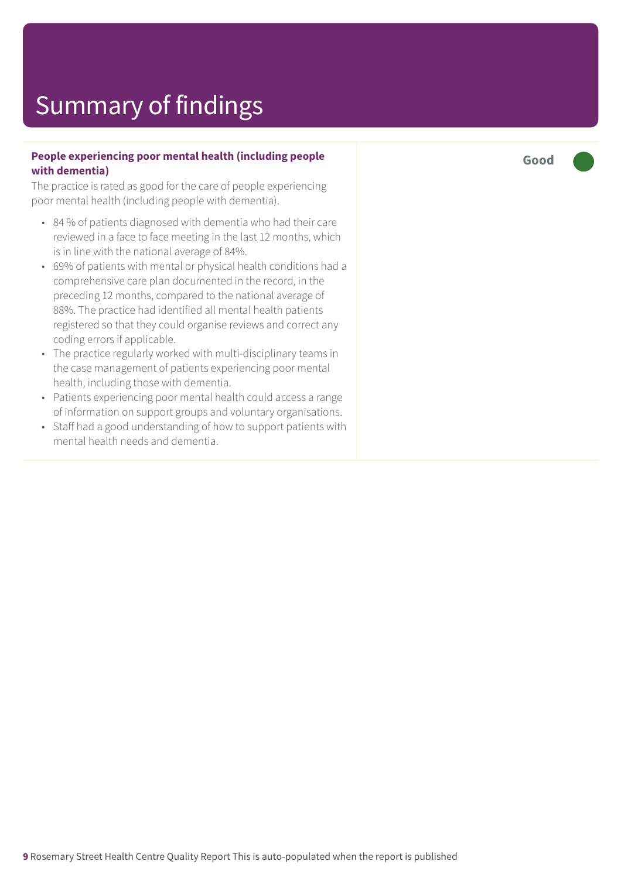#### **People experiencing poor mental health (including people with dementia)**

The practice is rated as good for the care of people experiencing poor mental health (including people with dementia).

- 84 % of patients diagnosed with dementia who had their care reviewed in a face to face meeting in the last 12 months, which is in line with the national average of 84%.
- 69% of patients with mental or physical health conditions had a comprehensive care plan documented in the record, in the preceding 12 months, compared to the national average of 88%. The practice had identified all mental health patients registered so that they could organise reviews and correct any coding errors if applicable.
- The practice regularly worked with multi-disciplinary teams in the case management of patients experiencing poor mental health, including those with dementia.
- Patients experiencing poor mental health could access a range of information on support groups and voluntary organisations.
- Staff had a good understanding of how to support patients with mental health needs and dementia.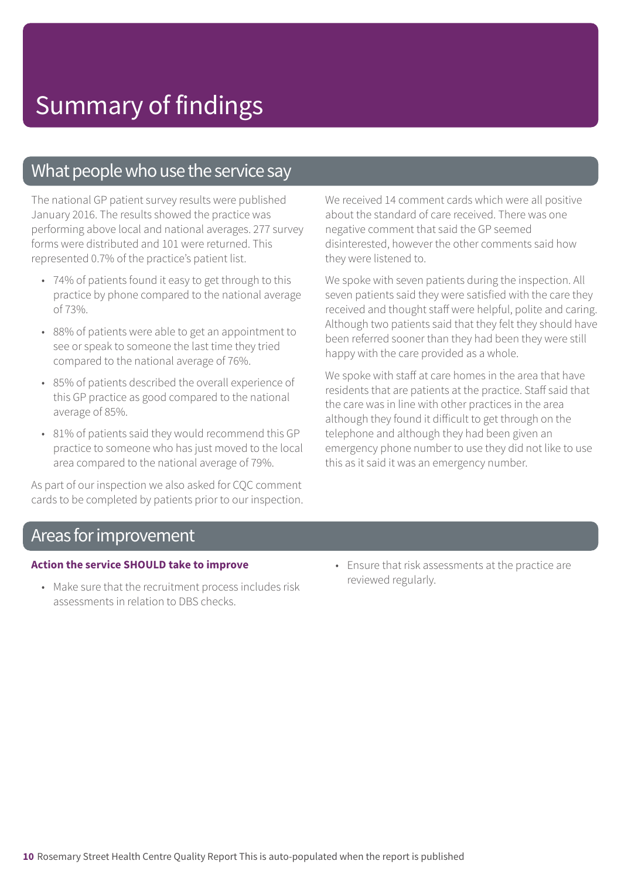### What people who use the service say

The national GP patient survey results were published January 2016. The results showed the practice was performing above local and national averages. 277 survey forms were distributed and 101 were returned. This represented 0.7% of the practice's patient list.

- 74% of patients found it easy to get through to this practice by phone compared to the national average of 73%.
- 88% of patients were able to get an appointment to see or speak to someone the last time they tried compared to the national average of 76%.
- 85% of patients described the overall experience of this GP practice as good compared to the national average of 85%.
- 81% of patients said they would recommend this GP practice to someone who has just moved to the local area compared to the national average of 79%.

As part of our inspection we also asked for CQC comment cards to be completed by patients prior to our inspection. We received 14 comment cards which were all positive about the standard of care received. There was one negative comment that said the GP seemed disinterested, however the other comments said how they were listened to.

We spoke with seven patients during the inspection. All seven patients said they were satisfied with the care they received and thought staff were helpful, polite and caring. Although two patients said that they felt they should have been referred sooner than they had been they were still happy with the care provided as a whole.

We spoke with staff at care homes in the area that have residents that are patients at the practice. Staff said that the care was in line with other practices in the area although they found it difficult to get through on the telephone and although they had been given an emergency phone number to use they did not like to use this as it said it was an emergency number.

### Areas for improvement

#### **Action the service SHOULD take to improve**

- Make sure that the recruitment process includes risk assessments in relation to DBS checks.
- Ensure that risk assessments at the practice are reviewed regularly.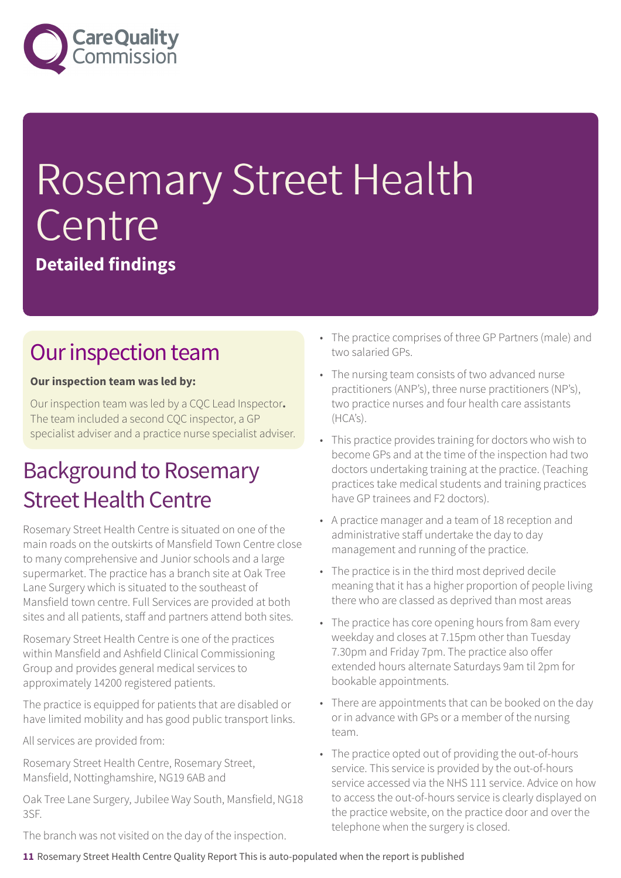

# Rosemary Street Health Centre

### **Detailed findings**

### Our inspection team

### **Our inspection team was led by:**

Our inspection team was led by a CQC Lead Inspector**.** The team included a second CQC inspector, a GP specialist adviser and a practice nurse specialist adviser.

### **Background to Rosemary Street Health Centre**

Rosemary Street Health Centre is situated on one of the main roads on the outskirts of Mansfield Town Centre close to many comprehensive and Junior schools and a large supermarket. The practice has a branch site at Oak Tree Lane Surgery which is situated to the southeast of Mansfield town centre. Full Services are provided at both sites and all patients, staff and partners attend both sites.

Rosemary Street Health Centre is one of the practices within Mansfield and Ashfield Clinical Commissioning Group and provides general medical services to approximately 14200 registered patients.

The practice is equipped for patients that are disabled or have limited mobility and has good public transport links.

All services are provided from:

Rosemary Street Health Centre, Rosemary Street, Mansfield, Nottinghamshire, NG19 6AB and

Oak Tree Lane Surgery, Jubilee Way South, Mansfield, NG18 3SF.

The branch was not visited on the day of the inspection.

- The practice comprises of three GP Partners (male) and two salaried GPs.
- The nursing team consists of two advanced nurse practitioners (ANP's), three nurse practitioners (NP's), two practice nurses and four health care assistants (HCA's).
- This practice provides training for doctors who wish to become GPs and at the time of the inspection had two doctors undertaking training at the practice. (Teaching practices take medical students and training practices have GP trainees and F2 doctors).
- A practice manager and a team of 18 reception and administrative staff undertake the day to day management and running of the practice.
- The practice is in the third most deprived decile meaning that it has a higher proportion of people living there who are classed as deprived than most areas
- The practice has core opening hours from 8am every weekday and closes at 7.15pm other than Tuesday 7.30pm and Friday 7pm. The practice also offer extended hours alternate Saturdays 9am til 2pm for bookable appointments.
- There are appointments that can be booked on the day or in advance with GPs or a member of the nursing team.
- The practice opted out of providing the out-of-hours service. This service is provided by the out-of-hours service accessed via the NHS 111 service. Advice on how to access the out-of-hours service is clearly displayed on the practice website, on the practice door and over the telephone when the surgery is closed.

**11** Rosemary Street Health Centre Quality Report This is auto-populated when the report is published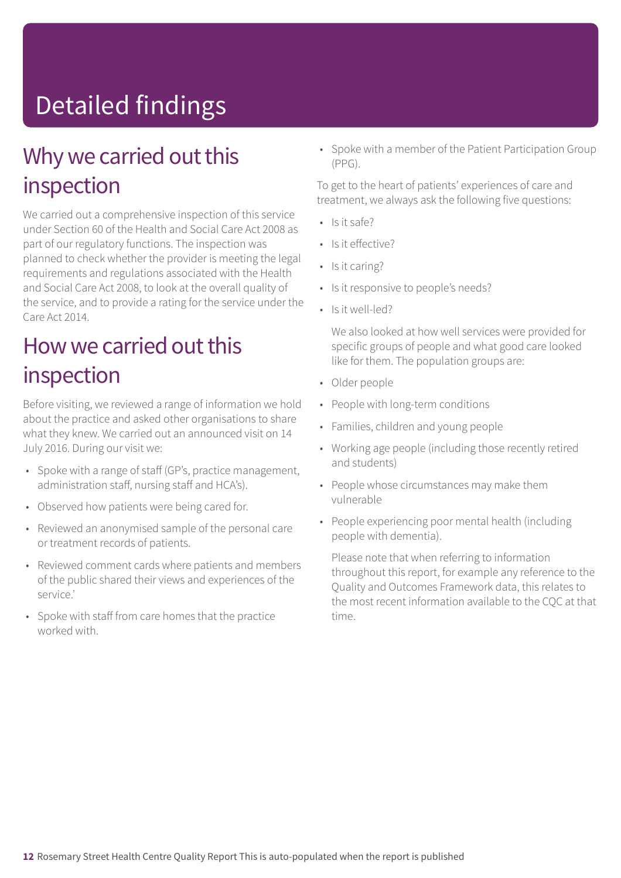# Detailed findings

### Why we carried out this inspection

We carried out a comprehensive inspection of this service under Section 60 of the Health and Social Care Act 2008 as part of our regulatory functions. The inspection was planned to check whether the provider is meeting the legal requirements and regulations associated with the Health and Social Care Act 2008, to look at the overall quality of the service, and to provide a rating for the service under the Care Act 2014.

### How we carried out this inspection

Before visiting, we reviewed a range of information we hold about the practice and asked other organisations to share what they knew. We carried out an announced visit on 14 July 2016. During our visit we:

- Spoke with a range of staff (GP's, practice management, administration staff, nursing staff and HCA's).
- Observed how patients were being cared for.
- Reviewed an anonymised sample of the personal care or treatment records of patients.
- Reviewed comment cards where patients and members of the public shared their views and experiences of the service.'
- Spoke with staff from care homes that the practice worked with.

• Spoke with a member of the Patient Participation Group (PPG).

To get to the heart of patients' experiences of care and treatment, we always ask the following five questions:

- Is it safe?
- Is it effective?
- Is it caring?
- Is it responsive to people's needs?
- Is it well-led?

We also looked at how well services were provided for specific groups of people and what good care looked like for them. The population groups are:

- Older people
- People with long-term conditions
- Families, children and young people
- Working age people (including those recently retired and students)
- People whose circumstances may make them vulnerable
- People experiencing poor mental health (including people with dementia).

Please note that when referring to information throughout this report, for example any reference to the Quality and Outcomes Framework data, this relates to the most recent information available to the CQC at that time.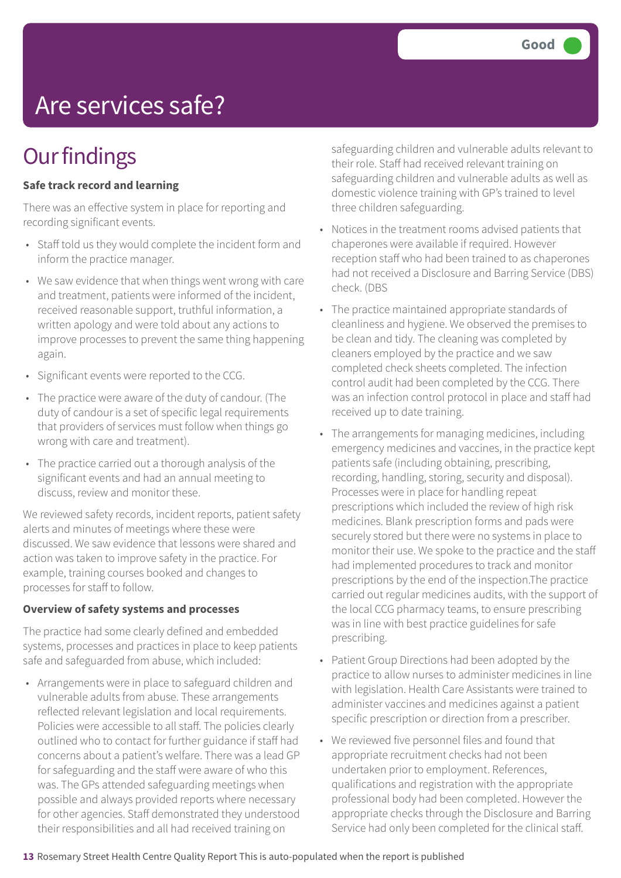# Are services safe?

### **Our findings**

#### **Safe track record and learning**

There was an effective system in place for reporting and recording significant events.

- Staff told us they would complete the incident form and inform the practice manager.
- We saw evidence that when things went wrong with care and treatment, patients were informed of the incident, received reasonable support, truthful information, a written apology and were told about any actions to improve processes to prevent the same thing happening again.
- Significant events were reported to the CCG.
- The practice were aware of the duty of candour. (The duty of candour is a set of specific legal requirements that providers of services must follow when things go wrong with care and treatment).
- The practice carried out a thorough analysis of the significant events and had an annual meeting to discuss, review and monitor these.

We reviewed safety records, incident reports, patient safety alerts and minutes of meetings where these were discussed. We saw evidence that lessons were shared and action was taken to improve safety in the practice. For example, training courses booked and changes to processes for staff to follow.

#### **Overview of safety systems and processes**

The practice had some clearly defined and embedded systems, processes and practices in place to keep patients safe and safeguarded from abuse, which included:

• Arrangements were in place to safeguard children and vulnerable adults from abuse. These arrangements reflected relevant legislation and local requirements. Policies were accessible to all staff. The policies clearly outlined who to contact for further guidance if staff had concerns about a patient's welfare. There was a lead GP for safeguarding and the staff were aware of who this was. The GPs attended safeguarding meetings when possible and always provided reports where necessary for other agencies. Staff demonstrated they understood their responsibilities and all had received training on

safeguarding children and vulnerable adults relevant to their role. Staff had received relevant training on safeguarding children and vulnerable adults as well as domestic violence training with GP's trained to level three children safeguarding.

- Notices in the treatment rooms advised patients that chaperones were available if required. However reception staff who had been trained to as chaperones had not received a Disclosure and Barring Service (DBS) check. (DBS
- The practice maintained appropriate standards of cleanliness and hygiene. We observed the premises to be clean and tidy. The cleaning was completed by cleaners employed by the practice and we saw completed check sheets completed. The infection control audit had been completed by the CCG. There was an infection control protocol in place and staff had received up to date training.
- The arrangements for managing medicines, including emergency medicines and vaccines, in the practice kept patients safe (including obtaining, prescribing, recording, handling, storing, security and disposal). Processes were in place for handling repeat prescriptions which included the review of high risk medicines. Blank prescription forms and pads were securely stored but there were no systems in place to monitor their use. We spoke to the practice and the staff had implemented procedures to track and monitor prescriptions by the end of the inspection.The practice carried out regular medicines audits, with the support of the local CCG pharmacy teams, to ensure prescribing was in line with best practice guidelines for safe prescribing.
- Patient Group Directions had been adopted by the practice to allow nurses to administer medicines in line with legislation. Health Care Assistants were trained to administer vaccines and medicines against a patient specific prescription or direction from a prescriber.
- We reviewed five personnel files and found that appropriate recruitment checks had not been undertaken prior to employment. References, qualifications and registration with the appropriate professional body had been completed. However the appropriate checks through the Disclosure and Barring Service had only been completed for the clinical staff.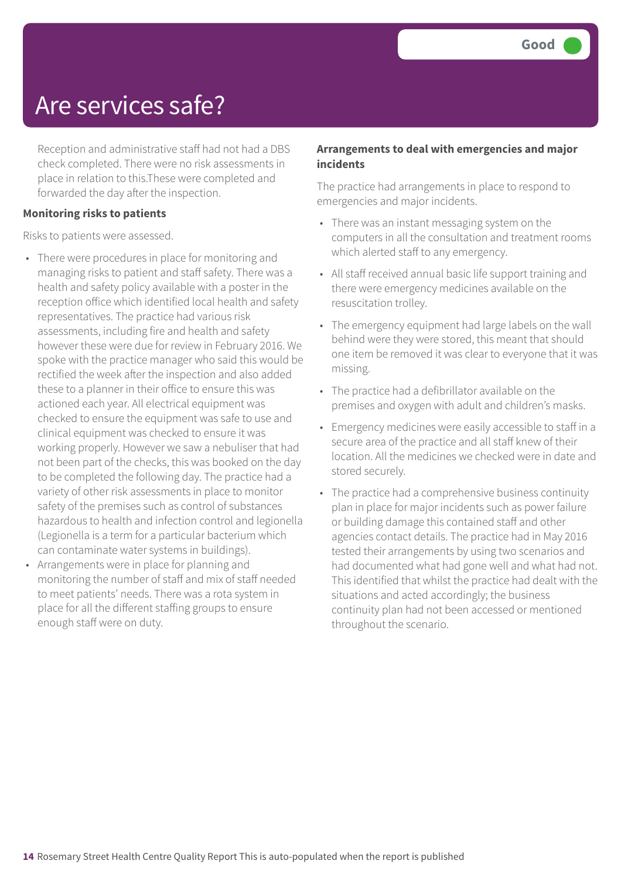### Are services safe?

Reception and administrative staff had not had a DBS check completed. There were no risk assessments in place in relation to this.These were completed and forwarded the day after the inspection.

#### **Monitoring risks to patients**

Risks to patients were assessed.

- There were procedures in place for monitoring and managing risks to patient and staff safety. There was a health and safety policy available with a poster in the reception office which identified local health and safety representatives. The practice had various risk assessments, including fire and health and safety however these were due for review in February 2016. We spoke with the practice manager who said this would be rectified the week after the inspection and also added these to a planner in their office to ensure this was actioned each year. All electrical equipment was checked to ensure the equipment was safe to use and clinical equipment was checked to ensure it was working properly. However we saw a nebuliser that had not been part of the checks, this was booked on the day to be completed the following day. The practice had a variety of other risk assessments in place to monitor safety of the premises such as control of substances hazardous to health and infection control and legionella (Legionella is a term for a particular bacterium which can contaminate water systems in buildings).
- Arrangements were in place for planning and monitoring the number of staff and mix of staff needed to meet patients' needs. There was a rota system in place for all the different staffing groups to ensure enough staff were on duty.

#### **Arrangements to deal with emergencies and major incidents**

The practice had arrangements in place to respond to emergencies and major incidents.

- There was an instant messaging system on the computers in all the consultation and treatment rooms which alerted staff to any emergency.
- All staff received annual basic life support training and there were emergency medicines available on the resuscitation trolley.
- The emergency equipment had large labels on the wall behind were they were stored, this meant that should one item be removed it was clear to everyone that it was missing.
- The practice had a defibrillator available on the premises and oxygen with adult and children's masks.
- Emergency medicines were easily accessible to staff in a secure area of the practice and all staff knew of their location. All the medicines we checked were in date and stored securely.
- The practice had a comprehensive business continuity plan in place for major incidents such as power failure or building damage this contained staff and other agencies contact details. The practice had in May 2016 tested their arrangements by using two scenarios and had documented what had gone well and what had not. This identified that whilst the practice had dealt with the situations and acted accordingly; the business continuity plan had not been accessed or mentioned throughout the scenario.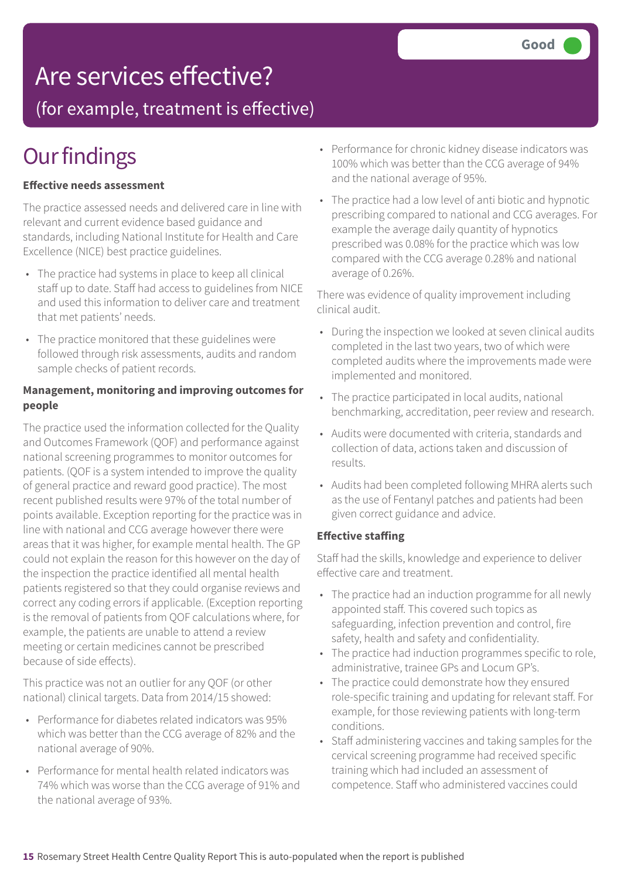### Are services effective?

(for example, treatment is effective)

### **Our findings**

#### **Effective needs assessment**

The practice assessed needs and delivered care in line with relevant and current evidence based guidance and standards, including National Institute for Health and Care Excellence (NICE) best practice guidelines.

- The practice had systems in place to keep all clinical staff up to date. Staff had access to guidelines from NICE and used this information to deliver care and treatment that met patients' needs.
- The practice monitored that these guidelines were followed through risk assessments, audits and random sample checks of patient records.

#### **Management, monitoring and improving outcomes for people**

The practice used the information collected for the Quality and Outcomes Framework (QOF) and performance against national screening programmes to monitor outcomes for patients. (QOF is a system intended to improve the quality of general practice and reward good practice). The most recent published results were 97% of the total number of points available. Exception reporting for the practice was in line with national and CCG average however there were areas that it was higher, for example mental health. The GP could not explain the reason for this however on the day of the inspection the practice identified all mental health patients registered so that they could organise reviews and correct any coding errors if applicable. (Exception reporting is the removal of patients from QOF calculations where, for example, the patients are unable to attend a review meeting or certain medicines cannot be prescribed because of side effects).

This practice was not an outlier for any QOF (or other national) clinical targets. Data from 2014/15 showed:

- Performance for diabetes related indicators was 95% which was better than the CCG average of 82% and the national average of 90%.
- Performance for mental health related indicators was 74% which was worse than the CCG average of 91% and the national average of 93%.
- Performance for chronic kidney disease indicators was 100% which was better than the CCG average of 94% and the national average of 95%.
- The practice had a low level of anti biotic and hypnotic prescribing compared to national and CCG averages. For example the average daily quantity of hypnotics prescribed was 0.08% for the practice which was low compared with the CCG average 0.28% and national average of 0.26%.

There was evidence of quality improvement including clinical audit.

- During the inspection we looked at seven clinical audits completed in the last two years, two of which were completed audits where the improvements made were implemented and monitored.
- The practice participated in local audits, national benchmarking, accreditation, peer review and research.
- Audits were documented with criteria, standards and collection of data, actions taken and discussion of results.
- Audits had been completed following MHRA alerts such as the use of Fentanyl patches and patients had been given correct guidance and advice.

#### **Effective staffing**

Staff had the skills, knowledge and experience to deliver effective care and treatment.

- The practice had an induction programme for all newly appointed staff. This covered such topics as safeguarding, infection prevention and control, fire safety, health and safety and confidentiality.
- The practice had induction programmes specific to role, administrative, trainee GPs and Locum GP's.
- The practice could demonstrate how they ensured role-specific training and updating for relevant staff. For example, for those reviewing patients with long-term conditions.
- Staff administering vaccines and taking samples for the cervical screening programme had received specific training which had included an assessment of competence. Staff who administered vaccines could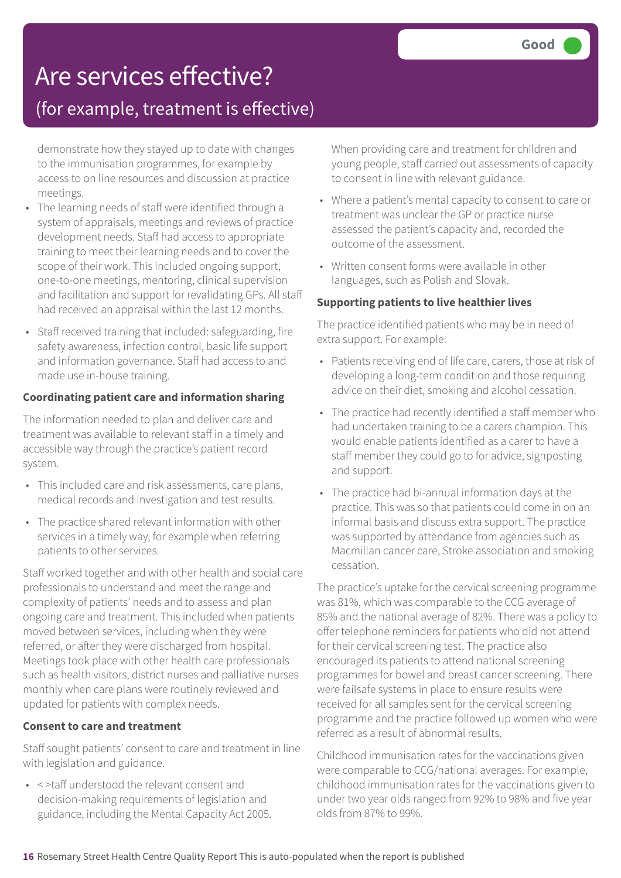### Are services effective?

### (for example, treatment is effective)

demonstrate how they stayed up to date with changes to the immunisation programmes, for example by access to on line resources and discussion at practice meetings.

- The learning needs of staff were identified through a system of appraisals, meetings and reviews of practice development needs. Staff had access to appropriate training to meet their learning needs and to cover the scope of their work. This included ongoing support, one-to-one meetings, mentoring, clinical supervision and facilitation and support for revalidating GPs. All staff had received an appraisal within the last 12 months.
- Staff received training that included: safeguarding, fire safety awareness, infection control, basic life support and information governance. Staff had access to and made use in-house training.

### **Coordinating patient care and information sharing**

The information needed to plan and deliver care and treatment was available to relevant staff in a timely and accessible way through the practice's patient record system.

- This included care and risk assessments, care plans, medical records and investigation and test results.
- The practice shared relevant information with other services in a timely way, for example when referring patients to other services.

Staff worked together and with other health and social care professionals to understand and meet the range and complexity of patients' needs and to assess and plan ongoing care and treatment. This included when patients moved between services, including when they were referred, or after they were discharged from hospital. Meetings took place with other health care professionals such as health visitors, district nurses and palliative nurses monthly when care plans were routinely reviewed and updated for patients with complex needs.

#### **Consent to care and treatment**

Staff sought patients' consent to care and treatment in line with legislation and guidance.

• < >taff understood the relevant consent and decision-making requirements of legislation and guidance, including the Mental Capacity Act 2005. When providing care and treatment for children and young people, staff carried out assessments of capacity to consent in line with relevant guidance.

- Where a patient's mental capacity to consent to care or treatment was unclear the GP or practice nurse assessed the patient's capacity and, recorded the outcome of the assessment.
- Written consent forms were available in other languages, such as Polish and Slovak.

### **Supporting patients to live healthier lives**

The practice identified patients who may be in need of extra support. For example:

- Patients receiving end of life care, carers, those at risk of developing a long-term condition and those requiring advice on their diet, smoking and alcohol cessation.
- The practice had recently identified a staff member who had undertaken training to be a carers champion. This would enable patients identified as a carer to have a staff member they could go to for advice, signposting and support.
- The practice had bi-annual information days at the practice. This was so that patients could come in on an informal basis and discuss extra support. The practice was supported by attendance from agencies such as Macmillan cancer care, Stroke association and smoking cessation.

The practice's uptake for the cervical screening programme was 81%, which was comparable to the CCG average of 85% and the national average of 82%. There was a policy to offer telephone reminders for patients who did not attend for their cervical screening test. The practice also encouraged its patients to attend national screening programmes for bowel and breast cancer screening. There were failsafe systems in place to ensure results were received for all samples sent for the cervical screening programme and the practice followed up women who were referred as a result of abnormal results.

Childhood immunisation rates for the vaccinations given were comparable to CCG/national averages. For example, childhood immunisation rates for the vaccinations given to under two year olds ranged from 92% to 98% and five year olds from 87% to 99%.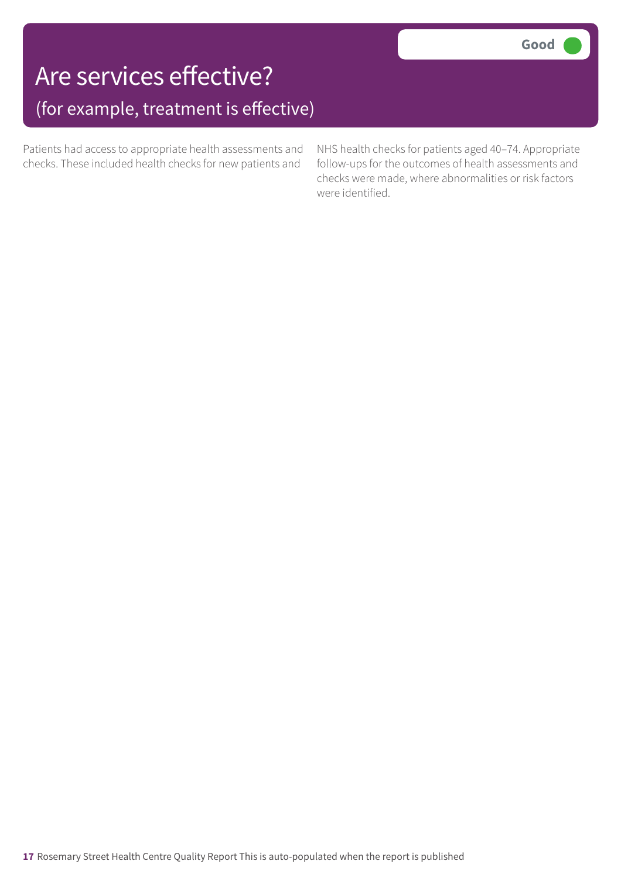# Are services effective?

(for example, treatment is effective)

Patients had access to appropriate health assessments and checks. These included health checks for new patients and

NHS health checks for patients aged 40–74. Appropriate follow-ups for the outcomes of health assessments and checks were made, where abnormalities or risk factors were identified.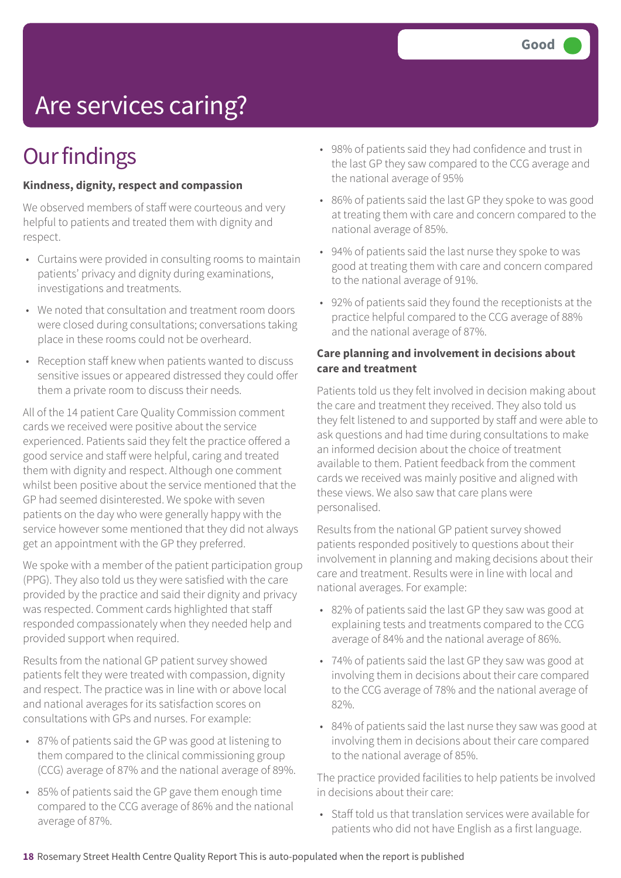# Are services caring?

### **Our findings**

#### **Kindness, dignity, respect and compassion**

We observed members of staff were courteous and very helpful to patients and treated them with dignity and respect.

- Curtains were provided in consulting rooms to maintain patients' privacy and dignity during examinations, investigations and treatments.
- We noted that consultation and treatment room doors were closed during consultations; conversations taking place in these rooms could not be overheard.
- Reception staff knew when patients wanted to discuss sensitive issues or appeared distressed they could offer them a private room to discuss their needs.

All of the 14 patient Care Quality Commission comment cards we received were positive about the service experienced. Patients said they felt the practice offered a good service and staff were helpful, caring and treated them with dignity and respect. Although one comment whilst been positive about the service mentioned that the GP had seemed disinterested. We spoke with seven patients on the day who were generally happy with the service however some mentioned that they did not always get an appointment with the GP they preferred.

We spoke with a member of the patient participation group (PPG). They also told us they were satisfied with the care provided by the practice and said their dignity and privacy was respected. Comment cards highlighted that staff responded compassionately when they needed help and provided support when required.

Results from the national GP patient survey showed patients felt they were treated with compassion, dignity and respect. The practice was in line with or above local and national averages for its satisfaction scores on consultations with GPs and nurses. For example:

- 87% of patients said the GP was good at listening to them compared to the clinical commissioning group (CCG) average of 87% and the national average of 89%.
- 85% of patients said the GP gave them enough time compared to the CCG average of 86% and the national average of 87%.
- 98% of patients said they had confidence and trust in the last GP they saw compared to the CCG average and the national average of 95%
- 86% of patients said the last GP they spoke to was good at treating them with care and concern compared to the national average of 85%.
- 94% of patients said the last nurse they spoke to was good at treating them with care and concern compared to the national average of 91%.
- 92% of patients said they found the receptionists at the practice helpful compared to the CCG average of 88% and the national average of 87%.

#### **Care planning and involvement in decisions about care and treatment**

Patients told us they felt involved in decision making about the care and treatment they received. They also told us they felt listened to and supported by staff and were able to ask questions and had time during consultations to make an informed decision about the choice of treatment available to them. Patient feedback from the comment cards we received was mainly positive and aligned with these views. We also saw that care plans were personalised.

Results from the national GP patient survey showed patients responded positively to questions about their involvement in planning and making decisions about their care and treatment. Results were in line with local and national averages. For example:

- 82% of patients said the last GP they saw was good at explaining tests and treatments compared to the CCG average of 84% and the national average of 86%.
- 74% of patients said the last GP they saw was good at involving them in decisions about their care compared to the CCG average of 78% and the national average of 82%.
- 84% of patients said the last nurse they saw was good at involving them in decisions about their care compared to the national average of 85%.

The practice provided facilities to help patients be involved in decisions about their care:

• Staff told us that translation services were available for patients who did not have English as a first language.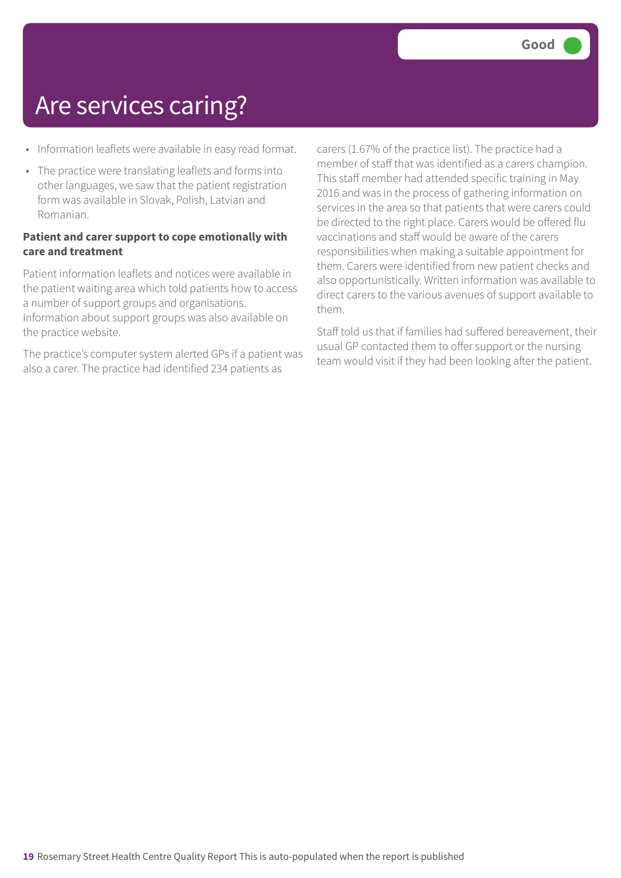### Are services caring?

- Information leaflets were available in easy read format.
- The practice were translating leaflets and forms into other languages, we saw that the patient registration form was available in Slovak, Polish, Latvian and Romanian.

#### **Patient and carer support to cope emotionally with care and treatment**

Patient information leaflets and notices were available in the patient waiting area which told patients how to access a number of support groups and organisations. Information about support groups was also available on the practice website.

The practice's computer system alerted GPs if a patient was also a carer. The practice had identified 234 patients as

carers (1.67% of the practice list). The practice had a member of staff that was identified as a carers champion. This staff member had attended specific training in May 2016 and was in the process of gathering information on services in the area so that patients that were carers could be directed to the right place. Carers would be offered flu vaccinations and staff would be aware of the carers responsibilities when making a suitable appointment for them. Carers were identified from new patient checks and also opportunistically. Written information was available to direct carers to the various avenues of support available to them.

Staff told us that if families had suffered bereavement, their usual GP contacted them to offer support or the nursing team would visit if they had been looking after the patient.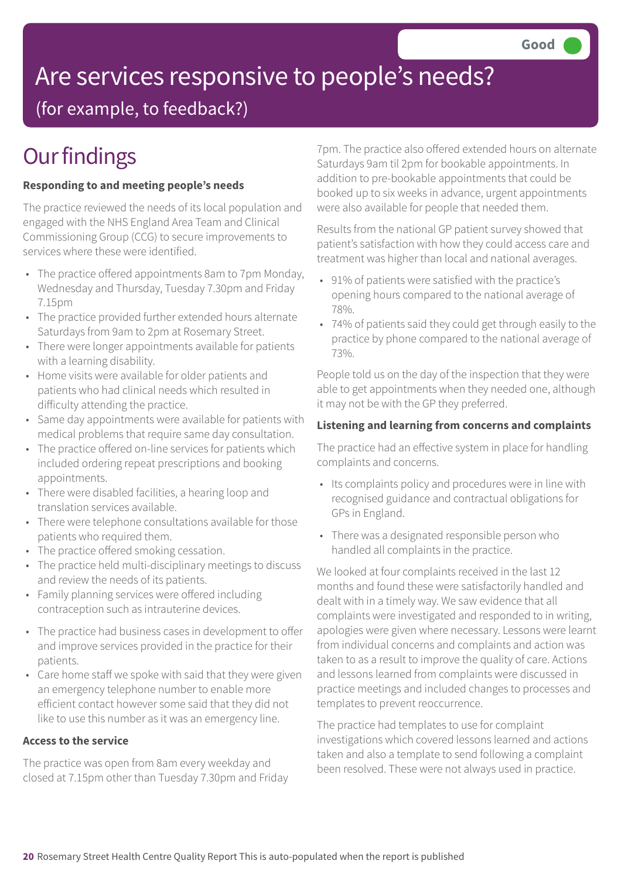# Are services responsive to people's needs?

(for example, to feedback?)

# **Our findings**

### **Responding to and meeting people's needs**

The practice reviewed the needs of its local population and engaged with the NHS England Area Team and Clinical Commissioning Group (CCG) to secure improvements to services where these were identified.

- The practice offered appointments 8am to 7pm Monday, Wednesday and Thursday, Tuesday 7.30pm and Friday 7.15pm
- The practice provided further extended hours alternate Saturdays from 9am to 2pm at Rosemary Street.
- There were longer appointments available for patients with a learning disability.
- Home visits were available for older patients and patients who had clinical needs which resulted in difficulty attending the practice.
- Same day appointments were available for patients with medical problems that require same day consultation.
- The practice offered on-line services for patients which included ordering repeat prescriptions and booking appointments.
- There were disabled facilities, a hearing loop and translation services available.
- There were telephone consultations available for those patients who required them.
- The practice offered smoking cessation.
- The practice held multi-disciplinary meetings to discuss and review the needs of its patients.
- Family planning services were offered including contraception such as intrauterine devices.
- The practice had business cases in development to offer and improve services provided in the practice for their patients.
- Care home staff we spoke with said that they were given an emergency telephone number to enable more efficient contact however some said that they did not like to use this number as it was an emergency line.

#### **Access to the service**

The practice was open from 8am every weekday and closed at 7.15pm other than Tuesday 7.30pm and Friday 7pm. The practice also offered extended hours on alternate Saturdays 9am til 2pm for bookable appointments. In addition to pre-bookable appointments that could be booked up to six weeks in advance, urgent appointments were also available for people that needed them.

Results from the national GP patient survey showed that patient's satisfaction with how they could access care and treatment was higher than local and national averages.

- 91% of patients were satisfied with the practice's opening hours compared to the national average of 78%.
- 74% of patients said they could get through easily to the practice by phone compared to the national average of 73%.

People told us on the day of the inspection that they were able to get appointments when they needed one, although it may not be with the GP they preferred.

### **Listening and learning from concerns and complaints**

The practice had an effective system in place for handling complaints and concerns.

- Its complaints policy and procedures were in line with recognised guidance and contractual obligations for GPs in England.
- There was a designated responsible person who handled all complaints in the practice.

We looked at four complaints received in the last 12 months and found these were satisfactorily handled and dealt with in a timely way. We saw evidence that all complaints were investigated and responded to in writing, apologies were given where necessary. Lessons were learnt from individual concerns and complaints and action was taken to as a result to improve the quality of care. Actions and lessons learned from complaints were discussed in practice meetings and included changes to processes and templates to prevent reoccurrence.

The practice had templates to use for complaint investigations which covered lessons learned and actions taken and also a template to send following a complaint been resolved. These were not always used in practice.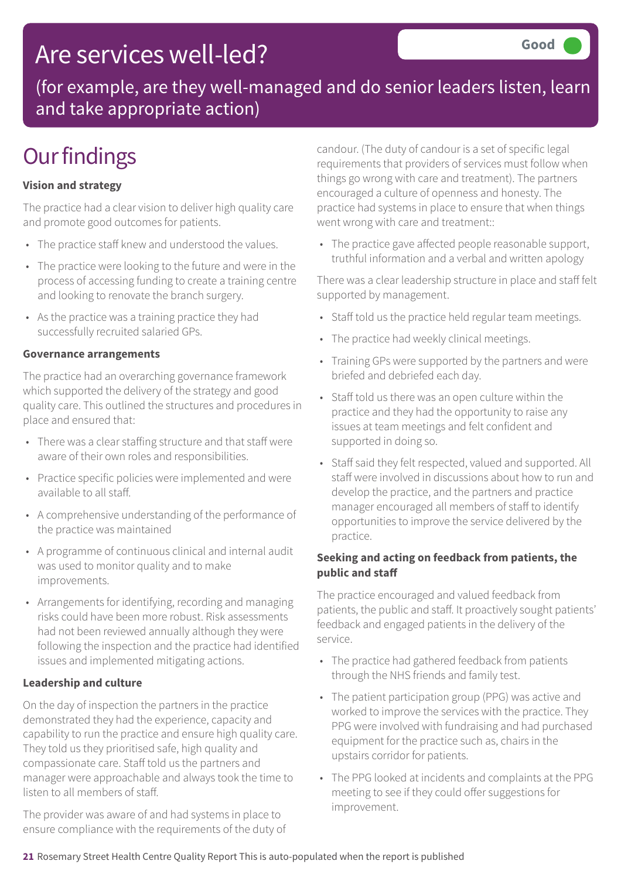### Are services well-led?

(for example, are they well-managed and do senior leaders listen, learn and take appropriate action)

### **Our findings**

### **Vision and strategy**

The practice had a clear vision to deliver high quality care and promote good outcomes for patients.

- The practice staff knew and understood the values.
- The practice were looking to the future and were in the process of accessing funding to create a training centre and looking to renovate the branch surgery.
- As the practice was a training practice they had successfully recruited salaried GPs.

#### **Governance arrangements**

The practice had an overarching governance framework which supported the delivery of the strategy and good quality care. This outlined the structures and procedures in place and ensured that:

- There was a clear staffing structure and that staff were aware of their own roles and responsibilities.
- Practice specific policies were implemented and were available to all staff.
- A comprehensive understanding of the performance of the practice was maintained
- A programme of continuous clinical and internal audit was used to monitor quality and to make improvements.
- Arrangements for identifying, recording and managing risks could have been more robust. Risk assessments had not been reviewed annually although they were following the inspection and the practice had identified issues and implemented mitigating actions.

#### **Leadership and culture**

On the day of inspection the partners in the practice demonstrated they had the experience, capacity and capability to run the practice and ensure high quality care. They told us they prioritised safe, high quality and compassionate care. Staff told us the partners and manager were approachable and always took the time to listen to all members of staff.

The provider was aware of and had systems in place to ensure compliance with the requirements of the duty of candour. (The duty of candour is a set of specific legal requirements that providers of services must follow when things go wrong with care and treatment). The partners encouraged a culture of openness and honesty. The practice had systems in place to ensure that when things went wrong with care and treatment::

• The practice gave affected people reasonable support, truthful information and a verbal and written apology

There was a clear leadership structure in place and staff felt supported by management.

- Staff told us the practice held regular team meetings.
- The practice had weekly clinical meetings.
- Training GPs were supported by the partners and were briefed and debriefed each day.
- Staff told us there was an open culture within the practice and they had the opportunity to raise any issues at team meetings and felt confident and supported in doing so.
- Staff said they felt respected, valued and supported. All staff were involved in discussions about how to run and develop the practice, and the partners and practice manager encouraged all members of staff to identify opportunities to improve the service delivered by the practice.

### **Seeking and acting on feedback from patients, the public and staff**

The practice encouraged and valued feedback from patients, the public and staff. It proactively sought patients' feedback and engaged patients in the delivery of the service.

- The practice had gathered feedback from patients through the NHS friends and family test.
- The patient participation group (PPG) was active and worked to improve the services with the practice. They PPG were involved with fundraising and had purchased equipment for the practice such as, chairs in the upstairs corridor for patients.
- The PPG looked at incidents and complaints at the PPG meeting to see if they could offer suggestions for improvement.